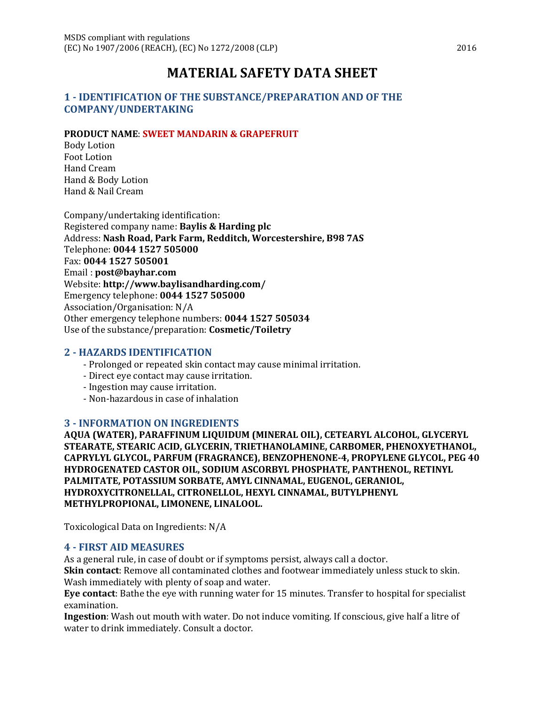# **MATERIAL SAFETY DATA SHEET**

#### **1 - IDENTIFICATION OF THE SUBSTANCE/PREPARATION AND OF THE COMPANY/UNDERTAKING**

#### **PRODUCT NAME**: **SWEET MANDARIN & GRAPEFRUIT**

Body Lotion Foot Lotion Hand Cream Hand & Body Lotion Hand & Nail Cream

Company/undertaking identification: Registered company name: **Baylis & Harding plc** Address: **Nash Road, Park Farm, Redditch, Worcestershire, B98 7AS** Telephone: **0044 1527 505000** Fax: **0044 1527 505001** Email : **post@bayhar.com** Website: **http://www.baylisandharding.com/** Emergency telephone: **0044 1527 505000** Association/Organisation: N/A Other emergency telephone numbers: **0044 1527 505034** Use of the substance/preparation: **Cosmetic/Toiletry**

#### **2 - HAZARDS IDENTIFICATION**

- Prolonged or repeated skin contact may cause minimal irritation.
- Direct eye contact may cause irritation.
- Ingestion may cause irritation.
- Non-hazardous in case of inhalation

#### **3 - INFORMATION ON INGREDIENTS**

**AQUA (WATER), PARAFFINUM LIQUIDUM (MINERAL OIL), CETEARYL ALCOHOL, GLYCERYL STEARATE, STEARIC ACID, GLYCERIN, TRIETHANOLAMINE, CARBOMER, PHENOXYETHANOL, CAPRYLYL GLYCOL, PARFUM (FRAGRANCE), BENZOPHENONE-4, PROPYLENE GLYCOL, PEG 40 HYDROGENATED CASTOR OIL, SODIUM ASCORBYL PHOSPHATE, PANTHENOL, RETINYL PALMITATE, POTASSIUM SORBATE, AMYL CINNAMAL, EUGENOL, GERANIOL, HYDROXYCITRONELLAL, CITRONELLOL, HEXYL CINNAMAL, BUTYLPHENYL METHYLPROPIONAL, LIMONENE, LINALOOL.**

Toxicological Data on Ingredients: N/A

#### **4 - FIRST AID MEASURES**

As a general rule, in case of doubt or if symptoms persist, always call a doctor.

**Skin contact**: Remove all contaminated clothes and footwear immediately unless stuck to skin. Wash immediately with plenty of soap and water.

**Eye contact**: Bathe the eye with running water for 15 minutes. Transfer to hospital for specialist examination.

**Ingestion**: Wash out mouth with water. Do not induce vomiting. If conscious, give half a litre of water to drink immediately. Consult a doctor.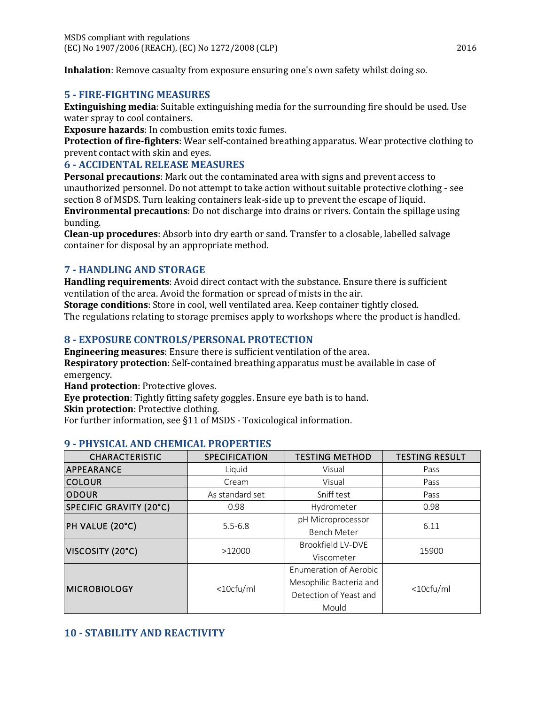**Inhalation**: Remove casualty from exposure ensuring one's own safety whilst doing so.

#### **5 - FIRE-FIGHTING MEASURES**

**Extinguishing media**: Suitable extinguishing media for the surrounding fire should be used. Use water spray to cool containers.

**Exposure hazards**: In combustion emits toxic fumes.

**Protection of fire-fighters**: Wear self-contained breathing apparatus. Wear protective clothing to prevent contact with skin and eyes.

#### **6 - ACCIDENTAL RELEASE MEASURES**

**Personal precautions**: Mark out the contaminated area with signs and prevent access to unauthorized personnel. Do not attempt to take action without suitable protective clothing - see section 8 of MSDS. Turn leaking containers leak-side up to prevent the escape of liquid.

**Environmental precautions**: Do not discharge into drains or rivers. Contain the spillage using bunding.

**Clean-up procedures**: Absorb into dry earth or sand. Transfer to a closable, labelled salvage container for disposal by an appropriate method.

## **7 - HANDLING AND STORAGE**

**Handling requirements**: Avoid direct contact with the substance. Ensure there is sufficient ventilation of the area. Avoid the formation or spread of mists in the air.

**Storage conditions**: Store in cool, well ventilated area. Keep container tightly closed. The regulations relating to storage premises apply to workshops where the product is handled.

## **8 - EXPOSURE CONTROLS/PERSONAL PROTECTION**

**Engineering measures**: Ensure there is sufficient ventilation of the area. **Respiratory protection**: Self-contained breathing apparatus must be available in case of emergency.

**Hand protection**: Protective gloves.

**Eye protection**: Tightly fitting safety goggles. Ensure eye bath is to hand.

**Skin protection**: Protective clothing.

For further information, see §11 of MSDS - Toxicological information.

| <b>CHARACTERISTIC</b>   | <b>SPECIFICATION</b> | <b>TESTING METHOD</b>         | <b>TESTING RESULT</b> |
|-------------------------|----------------------|-------------------------------|-----------------------|
| APPEARANCE              | Liquid               | Visual                        | Pass                  |
| <b>COLOUR</b>           | Cream                | Visual                        | Pass                  |
| <b>ODOUR</b>            | As standard set      | Sniff test                    | Pass                  |
| SPECIFIC GRAVITY (20°C) | 0.98                 | Hydrometer                    | 0.98                  |
| PH VALUE (20°C)         | $5.5 - 6.8$          | pH Microprocessor             | 6.11                  |
|                         |                      | <b>Bench Meter</b>            |                       |
| VISCOSITY (20°C)        | >12000               | Brookfield LV-DVE             | 15900                 |
|                         |                      | Viscometer                    |                       |
| <b>MICROBIOLOGY</b>     | <10cfu/ml            | <b>Enumeration of Aerobic</b> | <10cfu/ml             |
|                         |                      | Mesophilic Bacteria and       |                       |
|                         |                      | Detection of Yeast and        |                       |
|                         |                      | Mould                         |                       |

## **9 - PHYSICAL AND CHEMICAL PROPERTIES**

## **10 - STABILITY AND REACTIVITY**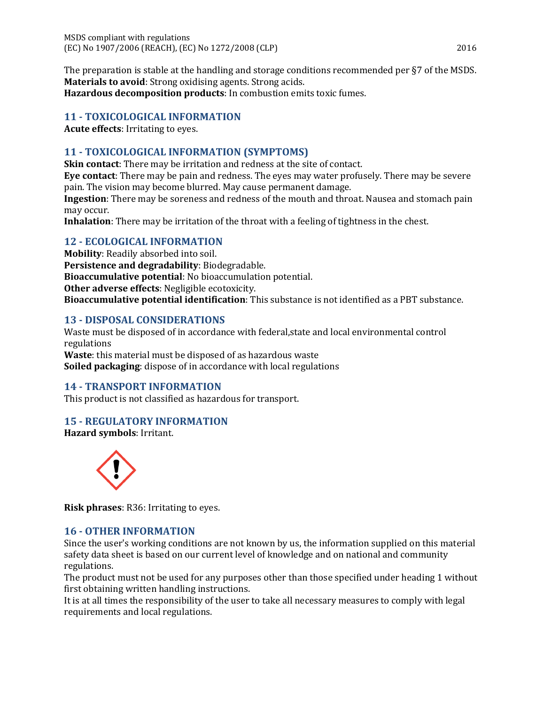The preparation is stable at the handling and storage conditions recommended per §7 of the MSDS. **Materials to avoid**: Strong oxidising agents. Strong acids. **Hazardous decomposition products**: In combustion emits toxic fumes.

#### **11 - TOXICOLOGICAL INFORMATION**

**Acute effects**: Irritating to eyes.

## **11 - TOXICOLOGICAL INFORMATION (SYMPTOMS)**

**Skin contact**: There may be irritation and redness at the site of contact.

**Eye contact**: There may be pain and redness. The eyes may water profusely. There may be severe pain. The vision may become blurred. May cause permanent damage.

**Ingestion**: There may be soreness and redness of the mouth and throat. Nausea and stomach pain may occur.

**Inhalation**: There may be irritation of the throat with a feeling of tightness in the chest.

#### **12 - ECOLOGICAL INFORMATION**

**Mobility**: Readily absorbed into soil. **Persistence and degradability**: Biodegradable. **Bioaccumulative potential**: No bioaccumulation potential. **Other adverse effects**: Negligible ecotoxicity. **Bioaccumulative potential identification**: This substance is not identified as a PBT substance.

#### **13 - DISPOSAL CONSIDERATIONS**

Waste must be disposed of in accordance with federal,state and local environmental control regulations **Waste**: this material must be disposed of as hazardous waste **Soiled packaging**: dispose of in accordance with local regulations

## **14 - TRANSPORT INFORMATION**

This product is not classified as hazardous for transport.

## **15 - REGULATORY INFORMATION**

**Hazard symbols**: Irritant.



**Risk phrases**: R36: Irritating to eyes.

#### **16 - OTHER INFORMATION**

Since the user's working conditions are not known by us, the information supplied on this material safety data sheet is based on our current level of knowledge and on national and community regulations.

The product must not be used for any purposes other than those specified under heading 1 without first obtaining written handling instructions.

It is at all times the responsibility of the user to take all necessary measures to comply with legal requirements and local regulations.